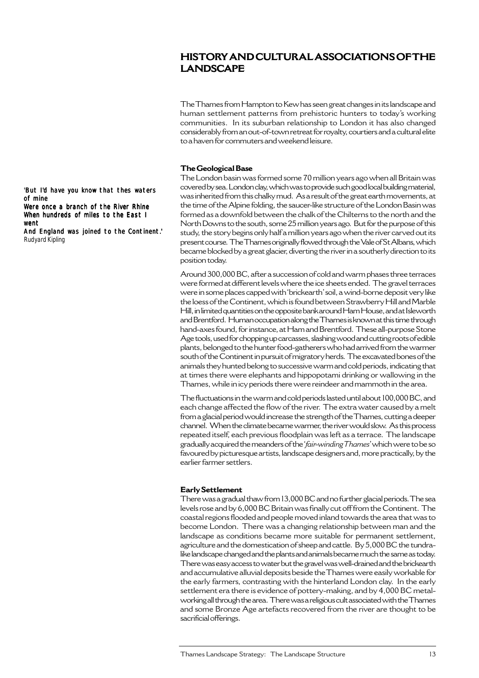# **HISTORY AND CULTURAL ASSOCIATIONS OF THE LANDSCAPE**

The Thames from Hampton to Kew has seen great changes in its landscape and human settlement patterns from prehistoric hunters to today's working communities. In its suburban relationship to London it has also changed considerably from an out-of-town retreat for royalty, courtiers and a cultural elite to a haven for commuters and weekend leisure.

#### **The Geological Base**

The London basin was formed some 70 million years ago when all Britain was covered by sea. London clay, which was to provide such good local building material, was inherited from this chalky mud. As a result of the great earth movements, at the time of the Alpine folding, the saucer-like structure of the London Basin was formed as a downfold between the chalk of the Chilterns to the north and the North Downs to the south, some 25 million years ago. But for the purpose of this study, the story begins only half a million years ago when the river carved out its present course. The Thames originally flowed through the Vale of St Albans, which became blocked by a great glacier, diverting the river in a southerly direction to its position today.

Around 300,000 BC, after a succession of cold and warm phases three terraces were formed at different levels where the ice sheets ended. The gravel terraces were in some places capped with 'brickearth' soil, a wind-borne deposit very like the loess of the Continent, which is found between Strawberry Hill and Marble Hill, in limited quantities on the opposite bank around Ham House, and at Isleworth and Brentford. Human occupation along the Thames is known at this time through hand-axes found, for instance, at Ham and Brentford. These all-purpose Stone Age tools, used for chopping up carcasses, slashing wood and cutting roots of edible plants, belonged to the hunter food-gatherers who had arrived from the warmer south of the Continent in pursuit of migratory herds. The excavated bones of the animals they hunted belong to successive warm and cold periods, indicating that at times there were elephants and hippopotami drinking or wallowing in the Thames, while in icy periods there were reindeer and mammoth in the area.

The fluctuations in the warm and cold periods lasted until about 100,000 BC, and each change affected the flow of the river. The extra water caused by a melt from a glacial period would increase the strength of the Thames, cutting a deeper channel. When the climate became warmer, the river would slow. As this process repeated itself, each previous floodplain was left as a terrace. The landscape gradually acquired the meanders of the '*fair-winding Thames*' which were to be so favoured by picturesque artists, landscape designers and, more practically, by the earlier farmer settlers.

#### **Early Settlement**

There was a gradual thaw from 13,000 BC and no further glacial periods. The sea levels rose and by 6,000 BC Britain was finally cut off from the Continent. The coastal regions flooded and people moved inland towards the area that was to become London. There was a changing relationship between man and the landscape as conditions became more suitable for permanent settlement, agriculture and the domestication of sheep and cattle. By 5,000 BC the tundralike landscape changed and the plants and animals became much the same as today. There was easy access to water but the gravel was well-drained and the brickearth and accumulative alluvial deposits beside the Thames were easily workable for the early farmers, contrasting with the hinterland London clay. In the early settlement era there is evidence of pottery-making, and by 4,000 BC metalworking all through the area. There was a religious cult associated with the Thames and some Bronze Age artefacts recovered from the river are thought to be sacrificial offerings.

'But I'd have you know that thes waters of mine

Were once a branch of the River Rhine When hundreds of miles to the East I went

And England was joined to the Continent.' Rudyard Kipling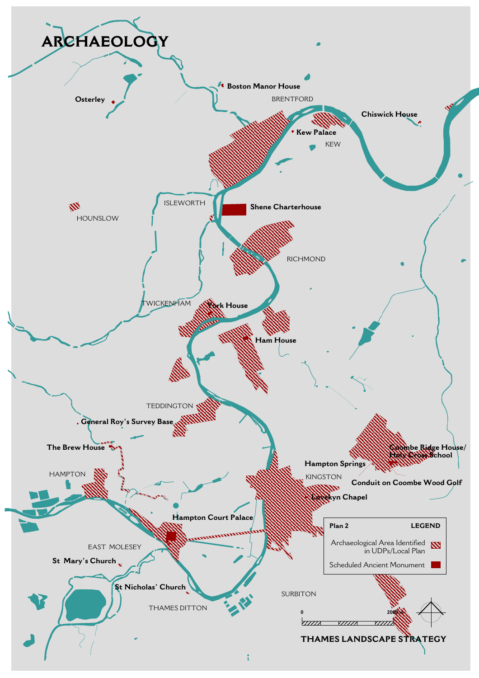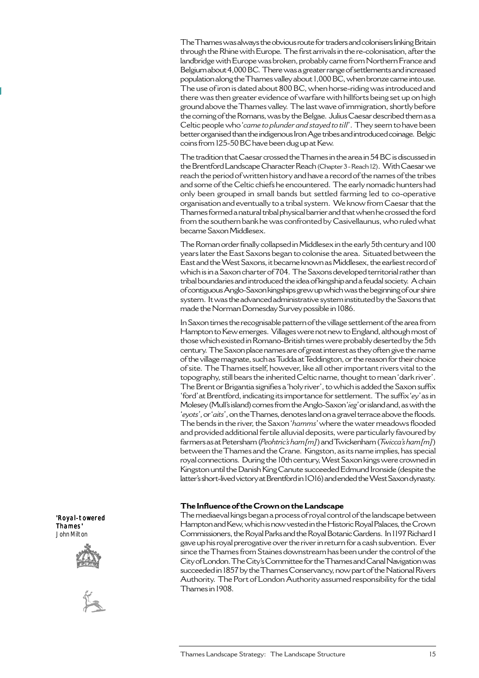The Thames was always the obvious route for traders and colonisers linking Britain through the Rhine with Europe. The first arrivals in the re-colonisation, after the landbridge with Europe was broken, probably came from Northern France and Belgium about 4,000 BC. There was a greater range of settlements and increased population along the Thames valley about 1,000 BC, when bronze came into use. The use of iron is dated about 800 BC, when horse-riding was introduced and there was then greater evidence of warfare with hillforts being set up on high ground above the Thames valley. The last wave of immigration, shortly before the coming of the Romans, was by the Belgae. Julius Caesar described them as a Celtic people who '*came to plunder and stayed to till*'. They seem to have been better organised than the indigenous Iron Age tribes and introduced coinage. Belgic coins from 125-50 BC have been dug up at Kew.

The tradition that Caesar crossed the Thames in the area in 54 BC is discussed in the Brentford Landscape Character Reach (Chapter 3 - Reach 12). With Caesar we reach the period of written history and have a record of the names of the tribes and some of the Celtic chiefs he encountered. The early nomadic hunters had only been grouped in small bands but settled farming led to co-operative organisation and eventually to a tribal system. We know from Caesar that the Thames formed a natural tribal physical barrier and that when he crossed the ford from the southern bank he was confronted by Casivellaunus, who ruled what became Saxon Middlesex.

The Roman order finally collapsed in Middlesex in the early 5th century and 100 years later the East Saxons began to colonise the area. Situated between the East and the West Saxons, it became known as Middlesex, the earliest record of which is in a Saxon charter of 704. The Saxons developed territorial rather than tribal boundaries and introduced the idea of kingship and a feudal society. A chain of contiguous Anglo-Saxon kingships grew up which was the beginning of our shire system. It was the advanced administrative system instituted by the Saxons that made the Norman Domesday Survey possible in 1086.

In Saxon times the recognisable pattern of the village settlement of the area from Hampton to Kew emerges. Villages were not new to England, although most of those which existed in Romano-British times were probably deserted by the 5th century. The Saxon place names are of great interest as they often give the name of the village magnate, such as Tudda at Teddington, or the reason for their choice of site. The Thames itself, however, like all other important rivers vital to the topography, still bears the inherited Celtic name, thought to mean 'dark river'. The Brent or Brigantia signifies a 'holy river', to which is added the Saxon suffix 'ford' at Brentford, indicating its importance for settlement. The suffix '*ey*' as in Molesey (Mull's island) comes from the Anglo-Saxon '*ieg*' or island and, as with the '*eyots'*, or '*aits*', on the Thames, denotes land on a gravel terrace above the floods. The bends in the river, the Saxon '*hamms*' where the water meadows flooded and provided additional fertile alluvial deposits, were particularly favoured by farmers as at Petersham (*Peohtric's ham[m]*) and Twickenham (*Twicca's ham[m]*) between the Thames and the Crane. Kingston, as its name implies, has special royal connections. During the 10th century, West Saxon kings were crowned in Kingston until the Danish King Canute succeeded Edmund Ironside (despite the latter's short-lived victory at Brentford in 1O16) and ended the West Saxon dynasty.

#### **The Influence of the Crown on the Landscape**

The mediaeval kings began a process of royal control of the landscape between Hampton and Kew, which is now vested in the Historic Royal Palaces, the Crown Commissioners, the Royal Parks and the Royal Botanic Gardens. In 1197 Richard I gave up his royal prerogative over the river in return for a cash subvention. Ever since the Thames from Staines downstream has been under the control of the City of London. The City's Committee for the Thames and Canal Navigation was succeeded in 1857 by the Thames Conservancy, now part of the National Rivers Authority. The Port of London Authority assumed responsibility for the tidal Thames in 1908.

'Royal-towered Thames' John Milton



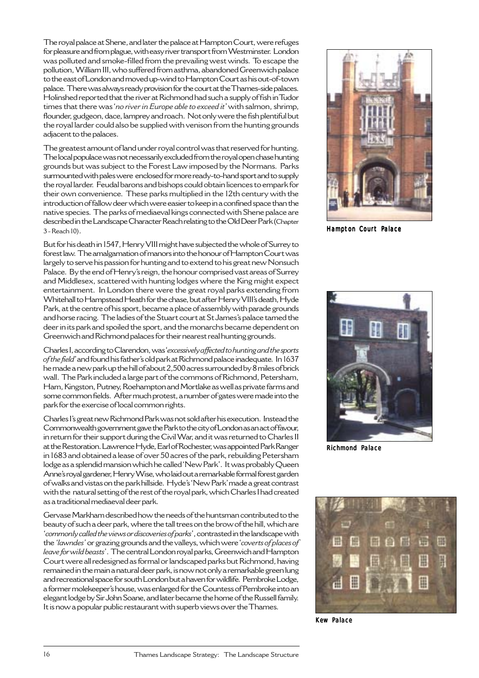The royal palace at Shene, and later the palace at Hampton Court, were refuges for pleasure and from plague, with easy river transport from Westminster. London was polluted and smoke-filled from the prevailing west winds. To escape the pollution, William III, who suffered from asthma, abandoned Greenwich palace to the east of London and moved up-wind to Hampton Court as his out-of-town palace. There was always ready provision for the court at the Thames-side palaces. Holinshed reported that the river at Richmond had such a supply of fish in Tudor times that there was '*no river in Europe able to exceed it*' with salmon, shrimp, flounder, gudgeon, dace, lamprey and roach. Not only were the fish plentiful but the royal larder could also be supplied with venison from the hunting grounds adjacent to the palaces.

The greatest amount of land under royal control was that reserved for hunting. The local populace was not necessarily excluded from the royal open chase hunting grounds but was subject to the Forest Law imposed by the Normans. Parks surmounted with pales were enclosed for more ready-to-hand sport and to supply the royal larder. Feudal barons and bishops could obtain licences to empark for their own convenience. These parks multiplied in the 12th century with the introduction of fallow deer which were easier to keep in a confined space than the native species. The parks of mediaeval kings connected with Shene palace are described in the Landscape Character Reach relating to the Old Deer Park (Chapter 3 - Reach 10).

But for his death in 1547, Henry VIII might have subjected the whole of Surrey to forest law. The amalgamation of manors into the honour of Hampton Court was largely to serve his passion for hunting and to extend to his great new Nonsuch Palace. By the end of Henry's reign, the honour comprised vast areas of Surrey and Middlesex, scattered with hunting lodges where the King might expect entertainment. In London there were the great royal parks extending from Whitehall to Hampstead Heath for the chase, but after Henry VIII's death, Hyde Park, at the centre of his sport, became a place of assembly with parade grounds and horse racing. The ladies of the Stuart court at St James's palace tamed the deer in its park and spoiled the sport, and the monarchs became dependent on Greenwich and Richmond palaces for their nearest real hunting grounds.

Charles I, according to Clarendon, was '*excessively affected to hunting and the sports of the field*' and found his father's old park at Richmond palace inadequate. In 1637 he made a new park up the hill of about 2,500 acres surrounded by 8 miles of brick wall. The Park included a large part of the commons of Richmond, Petersham, Ham, Kingston, Putney, Roehampton and Mortlake as well as private farms and some common fields. After much protest, a number of gates were made into the park for the exercise of local common rights.

Charles I's great new Richmond Park was not sold after his execution. Instead the Commonwealth government gave the Park to the city of London as an act of favour, in return for their support during the Civil War, and it was returned to Charles II at the Restoration. Lawrence Hyde, Earl of Rochester, was appointed Park Ranger in 1683 and obtained a lease of over 50 acres of the park, rebuilding Petersham lodge as a splendid mansion which he called 'New Park'. It was probably Queen Anne's royal gardener, Henry Wise, who laid out a remarkable formal forest garden of walks and vistas on the park hillside. Hyde's'New Park' made a great contrast with the natural setting of the rest of the royal park, which Charles I had created as a traditional mediaeval deer park.

Gervase Markham described how the needs of the huntsman contributed to the beauty of such a deer park, where the tall trees on the brow of the hill, which are '*commonly called the views or discoveries of parks*', contrasted in the landscape with the*'lawndes'* or grazing grounds and the valleys, which were '*coverts of places of leave for wild beasts*'. The central London royal parks, Greenwich and Hampton Court were all redesigned as formal or landscaped parks but Richmond, having remained in the main a natural deer park, is now not only a remarkable green lung and recreational space for south London but a haven for wildlife. Pembroke Lodge, a former molekeeper's house, was enlarged for the Countess of Pembroke into an elegant lodge by Sir John Soane, and later became the home of the Russell family. It is now a popular public restaurant with superb views over the Thames.



Hampton Court Palace



Richmond Palace



Kew Palace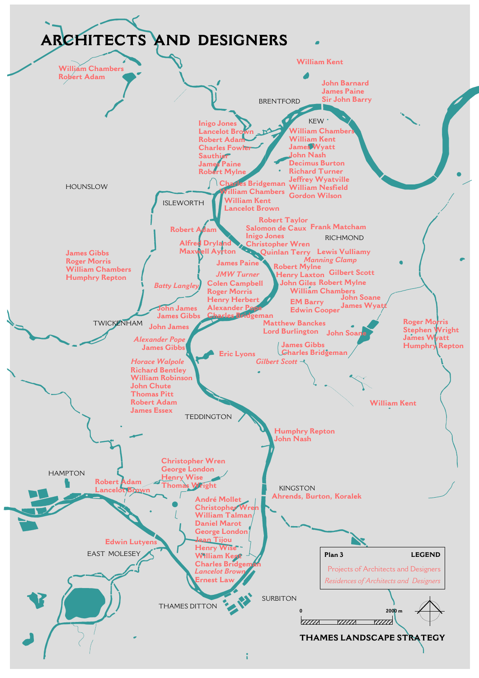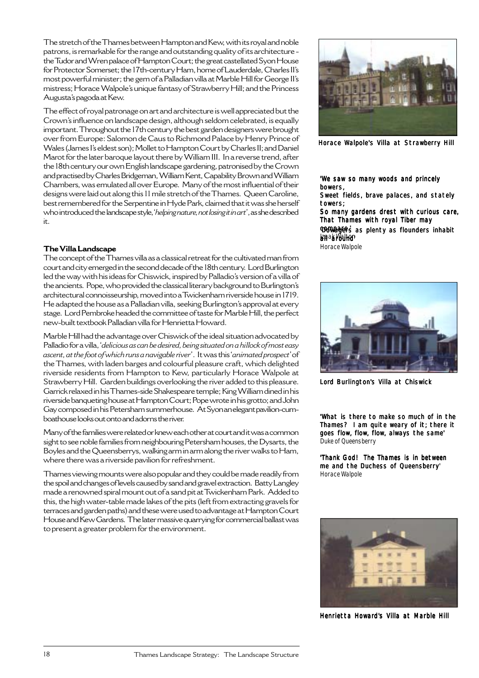The stretch of the Thames between Hampton and Kew, with its royal and noble patrons, is remarkable for the range and outstanding quality of its architecture the Tudor and Wren palace of Hampton Court; the great castellated Syon House for Protector Somerset; the 17th-century Ham, home of Lauderdale, Charles II's most powerful minister; the gem of a Palladian villa at Marble Hill for George II's mistress; Horace Walpole's unique fantasy of Strawberry Hill; and the Princess Augusta's pagoda at Kew.

The effect of royal patronage on art and architecture is well appreciated but the Crown's influence on landscape design, although seldom celebrated, is equally important. Throughout the 17th century the best garden designers were brought over from Europe: Salomon de Caus to Richmond Palace by Henry Prince of Wales (James I's eldest son); Mollet to Hampton Court by Charles II; and Daniel Marot for the later baroque layout there by William III. In a reverse trend, after the 18th century our own English landscape gardening, patronised by the Crown and practised by Charles Bridgeman, William Kent, Capability Brown and William Chambers, was emulated all over Europe. Many of the most influential of their designs were laid out along this 11 mile stretch of the Thames. Queen Caroline, best remembered for the Serpentine in Hyde Park, claimed that it was she herself who introduced the landscape style, '*helping nature, not losing it in art*', as she described it.

## **The Villa Landscape**

The concept of the Thames villa as a classical retreat for the cultivated man from court and city emerged in the second decade of the 18th century. Lord Burlington led the way with his ideas for Chiswick, inspired by Palladio's version of a villa of the ancients. Pope, who provided the classical literary background to Burlington's architectural connoisseurship, moved into a Twickenham riverside house in 1719. He adapted the house as a Palladian villa, seeking Burlington's approval at every stage. Lord Pembroke headed the committee of taste for Marble Hill, the perfect new-built textbook Palladian villa for Henrietta Howard.

Marble Hill had the advantage over Chiswick of the ideal situation advocated by Palladio for a villa, '*delicious as can be desired, being situated on a hillock of most easy ascent, at the foot of which runs a navigable river*'. It was this '*animated prospect*' of the Thames, with laden barges and colourful pleasure craft, which delighted riverside residents from Hampton to Kew, particularly Horace Walpole at Strawberry Hill. Garden buildings overlooking the river added to this pleasure. Garrick relaxed in his Thames-side Shakespeare temple; King William dined in his riverside banqueting house at Hampton Court; Pope wrote in his grotto; and John Gay composed in his Petersham summerhouse. At Syon an elegant pavilion-cumboathouse looks out onto and adorns the river.

Many of the families were related or knew each other at court and it was a common sight to see noble families from neighbouring Petersham houses, the Dysarts, the Boyles and the Queensberrys, walking arm in arm along the river walks to Ham, where there was a riverside pavilion for refreshment.

Thames viewing mounts were also popular and they could be made readily from the spoil and changes of levels caused by sand and gravel extraction. Batty Langley made a renowned spiral mount out of a sand pit at Twickenham Park. Added to this, the high water-table made lakes of the pits (left from extracting gravels for terraces and garden paths) and these were used to advantage at Hampton Court House and Kew Gardens. The later massive quarrying for commercial ballast was to present a greater problem for the environment.



Horace Walpole's Villa at Strawberry Hill

'We saw so many woods and princely bowers,

Sweet fields, brave palaces, and stately towers;

So many gardens drest with curious care, That Thames with royal Tiber may

**WOWAGER's as plenty as flounders inhabit** lanak Maltier

Horace Walpole



Lord Burlington's Villa at Chiswick

'What is there to make so much of in the Thames? I am quite weary of it; there it goes flow, flow, flow, always the same' Duke of Queensberry

'Thank God! The Thames is in between me and the Duchess of Queensberry' Horace Walpole



Henrietta Howard's Villa at Marble Hill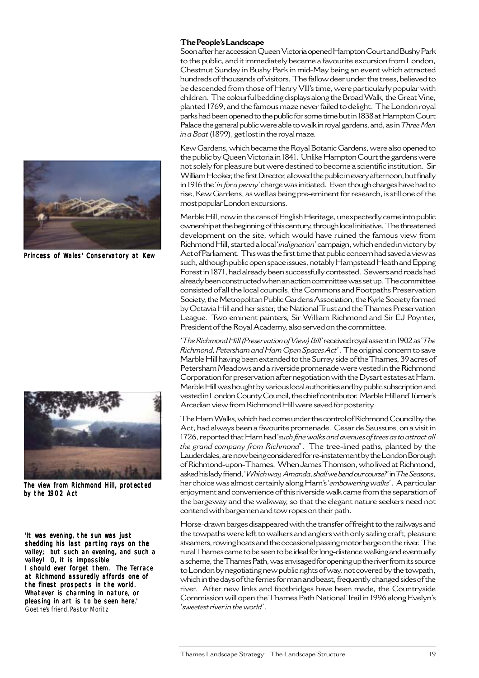

Princess of Wales' Conservatory at Kew



The view from Richmond Hill, protected by the 1902 Act

'It was evening, the sun was just shedding his last parting rays on the valley; but such an evening, and such a valley! O, it is impossible I should ever forget them. The Terrace at Richmond assuredly affords one of the finest prospects in the world. Whatever is charming in nature, or pleasing in art is to be seen here.' Goethe's friend, Pastor Moritz

### **The People's Landscape**

Soon after her accession Queen Victoria opened Hampton Court and Bushy Park to the public, and it immediately became a favourite excursion from London, Chestnut Sunday in Bushy Park in mid-May being an event which attracted hundreds of thousands of visitors. The fallow deer under the trees, believed to be descended from those of Henry Vlll's time, were particularly popular with children. The colourful bedding displays along the Broad Walk, the Great Vine, planted 1769, and the famous maze never failed to delight. The London royal parks had been opened to the public for some time but in 1838 at Hampton Court Palace the general public were able to walk in royal gardens, and, as in *Three Men in a Boat* (1899), get lost in the royal maze.

Kew Gardens, which became the Royal Botanic Gardens, were also opened to the public by Queen Victoria in 1841. Unlike Hampton Court the gardens were not solely for pleasure but were destined to become a scientific institution. Sir William Hooker, the first Director, allowed the public in every afternoon, but finally in 1916 the '*in for a penny*' charge was initiated. Even though charges have had to rise, Kew Gardens, as well as being pre-eminent for research, is still one of the most popular London excursions.

Marble Hill, now in the care of English Heritage, unexpectedly came into public ownership at the beginning of this century, through local initiative. The threatened development on the site, which would have ruined the famous view from Richmond Hill, started a local '*indignation*' campaign, which ended in victory by Act of Parliament. This was the first time that public concern had saved a view as such, although public open space issues, notably Hampstead Heath and Epping Forest in 1871, had already been successfully contested. Sewers and roads had already been constructed when an action committee was set up. The committee consisted of all the local councils, the Commons and Footpaths Preservation Society, the Metropolitan Public Gardens Association, the Kyrle Society formed by Octavia Hill and her sister, the National Trust and the Thames Preservation League. Two eminent painters, Sir William Richmond and Sir EJ Poynter, President of the Royal Academy, also served on the committee.

'*The Richmond Hill (Preservation of View) Bill*' received royal assent in 1902 as '*The Richmond, Petersham and Ham Open Spaces Act*'. The original concern to save Marble Hill having been extended to the Surrey side of the Thames, 39 acres of Petersham Meadows and a riverside promenade were vested in the Richmond Corporation for preservation after negotiation with the Dysart estates at Ham. Marble Hill was bought by various local authorities and by public subscription and vested in London County Council, the chief contributor. Marble Hill and Turner's Arcadian view from Richmond Hill were saved for posterity.

The Ham Walks, which had come under the control of Richmond Council by the Act, had always been a favourite promenade. Cesar de Saussure, on a visit in 1726, reported that Ham had '*such fine walks and avenues of trees as to attract all the grand company from Richmond*'. The tree-lined paths, planted by the Lauderdales, are now being considered for re-instatement by the London Borough of Richmond-upon-Thames. When James Thomson, who lived at Richmond, asked his lady friend, '*Which way, Amanda, shall we bend our course?*' in *The Seasons*, her choice was almost certainly along Ham's'*embowering walks*'. A particular enjoyment and convenience of this riverside walk came from the separation of the bargeway and the walkway, so that the elegant nature seekers need not contend with bargemen and tow ropes on their path.

Horse-drawn barges disappeared with the transfer of freight to the railways and the towpaths were left to walkers and anglers with only sailing craft, pleasure steamers, rowing boats and the occasional passing motor barge on the river. The rural Thames came to be seen to be ideal for long-distance walking and eventually a scheme, the Thames Path, was envisaged for opening up the river from its source to London by negotiating new public rights of way, not covered by the towpath, which in the days of the ferries for man and beast, frequently changed sides of the river. After new links and footbridges have been made, the Countryside Commission will open the Thames Path National Trail in 1996 along Evelyn's '*sweetest river in the world*'.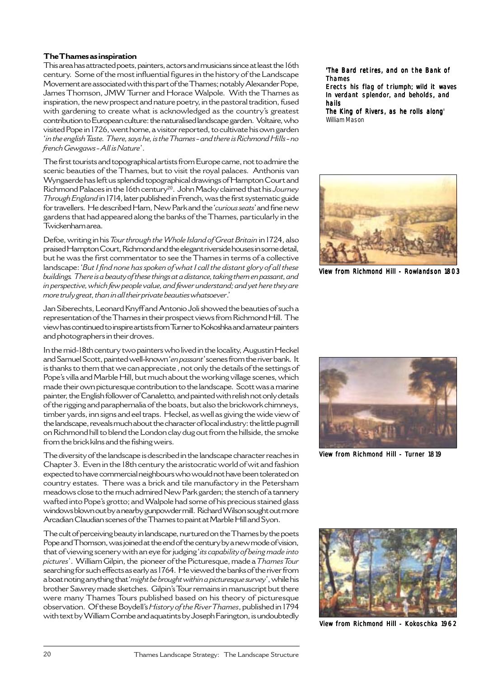## **The Thames as inspiration**

This area has attracted poets, painters, actors and musicians since at least the 16th century. Some of the most influential figures in the history of the Landscape Movement are associated with this part of the Thames; notably Alexander Pope, James Thomson, JMW Turner and Horace Walpole. With the Thames as inspiration, the new prospect and nature poetry, in the pastoral tradition, fused with gardening to create what is acknowledged as the country's greatest contribution to European culture: the naturalised landscape garden. Voltaire, who visited Pope in 1726, went home, a visitor reported, to cultivate his own garden '*in the english Taste. There, says he, is the Thames - and there is Richmond Hills - no french Gewgaws - All is Nature*'.

The first tourists and topographical artists from Europe came, not to admire the scenic beauties of the Thames, but to visit the royal palaces. Anthonis van Wyngaerde has left us splendid topographical drawings of Hampton Court and Richmond Palaces in the 16th century20. John Macky claimed that his *Journey Through England* in 1714, later published in French, was the first systematic guide for travellers. He described Ham, New Park and the '*curious seats*' and fine new gardens that had appeared along the banks of the Thames, particularly in the Twickenham area.

Defoe, writing in his *Tour through the Whole Island of Great Britain* in 1724, also praised Hampton Court, Richmond and the elegant riverside houses in some detail, but he was the first commentator to see the Thames in terms of a collective landscape:'*But I find none has spoken of what I call the distant glory of all these buildings. There is a beauty of these things at a distance, taking them en passant, and in perspective, which few people value, and fewer understand; and yet here they are more truly great, than in all their private beauties whatsoever*.'

Jan Siberechts, Leonard Knyff and Antonio Joli showed the beauties of such a representation of the Thames in their prospect views from Richmond Hill. The view has continued to inspire artists from Turner to Kokoshka and amateur painters and photographers in their droves.

In the mid-18th century two painters who lived in the locality, Augustin Heckel and Samuel Scott, painted well-known '*en passant*' scenes from the river bank. It is thanks to them that we can appreciate , not only the details of the settings of Pope's villa and Marble Hill, but much about the working village scenes, which made their own picturesque contribution to the landscape. Scott was a marine painter, the English follower of Canaletto, and painted with relish not only details of the rigging and paraphernalia of the boats, but also the brickwork chimneys, timber yards, inn signs and eel traps. Heckel, as well as giving the wide view of the landscape, reveals much about the character of local industry: the little pugmill on Richmond hill to blend the London clay dug out from the hillside, the smoke from the brick kilns and the fishing weirs.

The diversity of the landscape is described in the landscape character reaches in Chapter 3. Even in the 18th century the aristocratic world of wit and fashion expected to have commercial neighbours who would not have been tolerated on country estates. There was a brick and tile manufactory in the Petersham meadows close to the much admired New Park garden; the stench of a tannery wafted into Pope's grotto; and Walpole had some of his precious stained glass windows blown out by a nearby gunpowder mill. Richard Wilson sought out more Arcadian Claudian scenes of the Thames to paint at Marble Hill and Syon.

The cult of perceiving beauty in landscape, nurtured on the Thames by the poets Pope and Thomson, was joined at the end of the century by a new mode of vision, that of viewing scenery with an eye for judging '*its capability of being made into pictures*'. William Gilpin, the pioneer of the Picturesque, made a *Thames Tour* searching for such effects as early as 1764. He viewed the banks of the river from a boat noting anything that '*might be brought within a picturesque survey*', while his brother Sawrey made sketches. Gilpin's Tour remains in manuscript but there were many Thames Tours published based on his theory of picturesque observation. Of these Boydell's*History of the River Thames*, published in 1794 with text by William Combe and aquatints by Joseph Farington, is undoubtedly

'The Bard retires, and on the Bank of Thames

Erects his flag of triumph; wild it waves In verdant splendor, and beholds, and hails

The King of Rivers, as he rolls along' William Mason



View from Richmond Hill - Rowlandson 1803



View from Richmond Hill - Turner 1819



View from Richmond Hill - Kokoschka 1962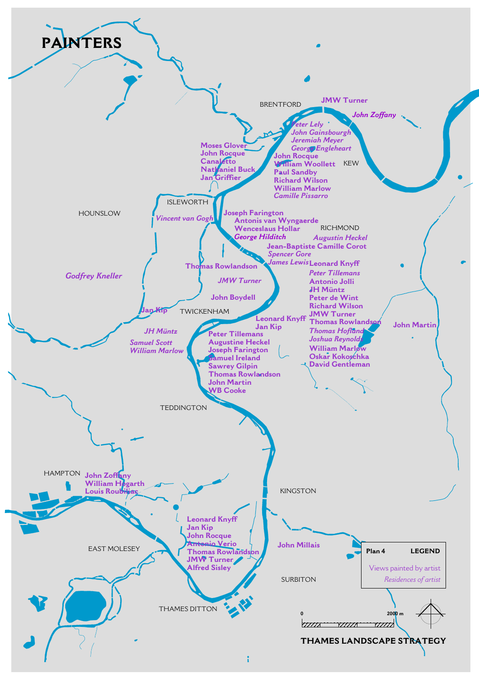